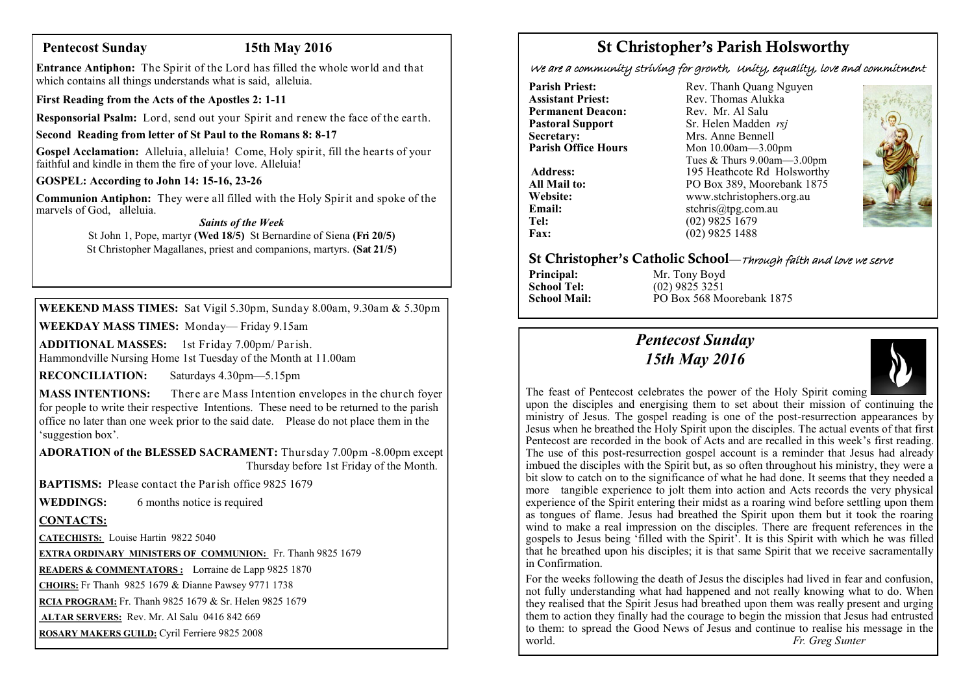# **Pentecost Sunday 15th May 2016**

**Entrance Antiphon:** The Spirit of the Lord has filled the whole world and that which contains all things understands what is said, alleluia.

**First Reading from the Acts of the Apostles 2: 1-11**

**Responsorial Psalm:** Lord, send out your Spirit and renew the face of the earth.

### **Second Reading from letter of St Paul to the Romans 8: 8-17**

**Gospel Acclamation:** Alleluia, alleluia! Come, Holy spirit, fill the hearts of your faithful and kindle in them the fire of your love. Alleluia!

### **GOSPEL: According to John 14: 15-16, 23-26**

**Communion Antiphon:** They were all filled with the Holy Spirit and spoke of the marvels of God, alleluia.

### *Saints of the Week*

St John 1, Pope, martyr **(Wed 18/5)** St Bernardine of Siena **(Fri 20/5)**  St Christopher Magallanes, priest and companions, martyrs. **(Sat 21/5)** 

**WEEKEND MASS TIMES:** Sat Vigil 5.30pm, Sunday 8.00am, 9.30am & 5.30pm

**WEEKDAY MASS TIMES:** Monday— Friday 9.15am

**ADDITIONAL MASSES:** 1st Friday 7.00pm/ Parish. Hammondville Nursing Home 1st Tuesday of the Month at 11.00am

**RECONCILIATION:** Saturdays 4.30pm—5.15pm

**MASS INTENTIONS:** There are Mass Intention envelopes in the church foyer for people to write their respective Intentions. These need to be returned to the parish office no later than one week prior to the said date. Please do not place them in the 'suggestion box'.

**ADORATION of the BLESSED SACRAMENT:** Thursday 7.00pm -8.00pm except Thursday before 1st Friday of the Month.

**BAPTISMS:** Please contact the Parish office 9825 1679

**WEDDINGS:** 6 months notice is required

# **CONTACTS:**

**CATECHISTS:** Louise Hartin 9822 5040

**EXTRA ORDINARY MINISTERS OF COMMUNION:** Fr. Thanh 9825 1679

**READERS & COMMENTATORS :** Lorraine de Lapp 9825 1870

**CHOIRS:** Fr Thanh 9825 1679 & Dianne Pawsey 9771 1738

**RCIA PROGRAM:** Fr. Thanh 9825 1679 & Sr. Helen 9825 1679

**ALTAR SERVERS:** Rev. Mr. Al Salu 0416 842 669

**ROSARY MAKERS GUILD:** Cyril Ferriere 9825 2008

# St Christopher's Parish Holsworthy

We are a community striving for growth, Unity, equality, love and commitment

**Pastoral Support**<br>Secretary: **Secretary:** Mrs. Anne Bennell<br> **Parish Office Hours** Mon 10.00am - 3.00

**Parish Priest:** Rev. Thanh Quang Nguyen<br> **Assistant Priest:** Rev. Thomas Alukka Rev. Thomas Alukka<sup>N</sup><br>Rev. Mr. Al Salu **Permanent Deacon:** Rev. Mr. Al Salu<br> **Pastoral Sunnort** Sr Helen Madden *rsi* **Parish Office Hours** Mon 10.00am—3.00pm Tues & Thurs 9.00am—3.00pm Address: 195 Heathcote Rd Holsworthy **All Mail to:** PO Box 389, Moorebank 1875<br>
Website: www.stchristophers.org.au **Website:** www.stchristophers.org.au<br> **Email:** stchris@tng.com au **Email:** stchris@tpg.com.au<br> **Tel:** (02) 9825 1679 Tel: (02) 9825 1679<br>Fax: (02) 9825 1488 **Fax:** (02) 9825 1488



### St Christopher's Catholic School—Through faith and love we serve

**Principal:** Mr. Tony Boyd<br> **School Tel:** (02) 9825 3251 **School Tel:** (02) 9825 3251<br>**School Mail:** PO Box 568 Me **School Mail:** PO Box 568 Moorebank 1875

# *Pentecost Sunday 15th May 2016*



The feast of Pentecost celebrates the power of the Holy Spirit coming upon the disciples and energising them to set about their mission of continuing the ministry of Jesus. The gospel reading is one of the post-resurrection appearances by Jesus when he breathed the Holy Spirit upon the disciples. The actual events of that first Pentecost are recorded in the book of Acts and are recalled in this week's first reading. The use of this post-resurrection gospel account is a reminder that Jesus had already imbued the disciples with the Spirit but, as so often throughout his ministry, they were a bit slow to catch on to the significance of what he had done. It seems that they needed a more tangible experience to jolt them into action and Acts records the very physical experience of the Spirit entering their midst as a roaring wind before settling upon them as tongues of flame. Jesus had breathed the Spirit upon them but it took the roaring wind to make a real impression on the disciples. There are frequent references in the gospels to Jesus being 'filled with the Spirit'. It is this Spirit with which he was filled  $\overline{\text{a}}$  that he breathed upon his disciples; it is that same Spirit that we receive sacramentally in Confirmation.

For the weeks following the death of Jesus the disciples had lived in fear and confusion, not fully understanding what had happened and not really knowing what to do. When they realised that the Spirit Jesus had breathed upon them was really present and urging them to action they finally had the courage to begin the mission that Jesus had entrusted to them: to spread the Good News of Jesus and continue to realise his message in the world. *Fr. Greg Sunter*